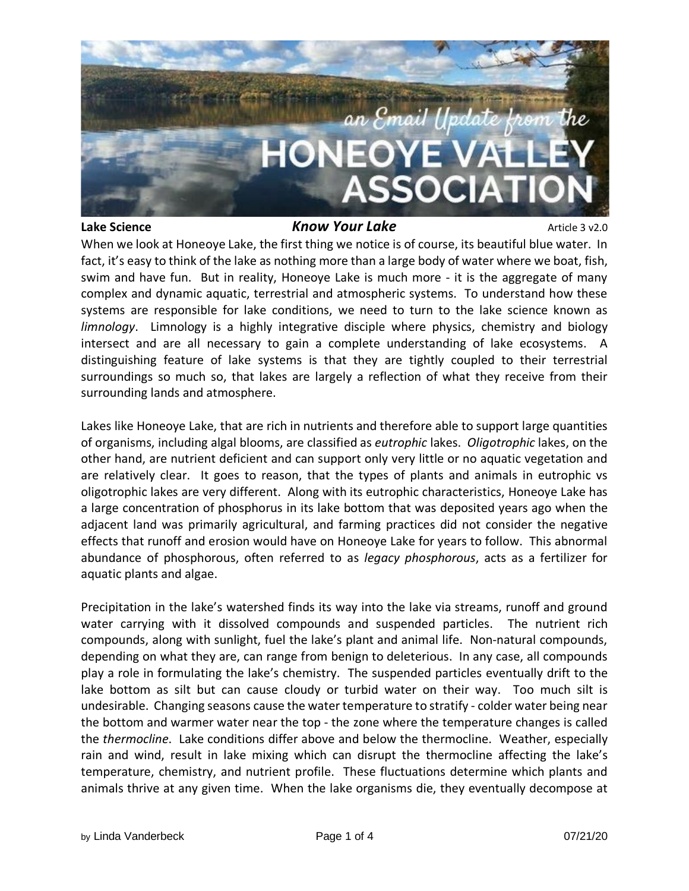

### **Lake Science** *Know Your Lake Article 3 v2.0*

When we look at Honeoye Lake, the first thing we notice is of course, its beautiful blue water. In fact, it's easy to think of the lake as nothing more than a large body of water where we boat, fish, swim and have fun. But in reality, Honeoye Lake is much more - it is the aggregate of many complex and dynamic aquatic, terrestrial and atmospheric systems. To understand how these systems are responsible for lake conditions, we need to turn to the lake science known as *limnology*. Limnology is a highly integrative disciple where physics, chemistry and biology intersect and are all necessary to gain a complete understanding of lake ecosystems. A distinguishing feature of lake systems is that they are tightly coupled to their terrestrial surroundings so much so, that lakes are largely a reflection of what they receive from their surrounding lands and atmosphere.

Lakes like Honeoye Lake, that are rich in nutrients and therefore able to support large quantities of organisms, including algal blooms, are classified as *eutrophic* lakes. *Oligotrophic* lakes, on the other hand, are nutrient deficient and can support only very little or no aquatic vegetation and are relatively clear. It goes to reason, that the types of plants and animals in eutrophic vs oligotrophic lakes are very different. Along with its eutrophic characteristics, Honeoye Lake has a large concentration of phosphorus in its lake bottom that was deposited years ago when the adjacent land was primarily agricultural, and farming practices did not consider the negative effects that runoff and erosion would have on Honeoye Lake for years to follow. This abnormal abundance of phosphorous, often referred to as *legacy phosphorous*, acts as a fertilizer for aquatic plants and algae.

Precipitation in the lake's watershed finds its way into the lake via streams, runoff and ground water carrying with it dissolved compounds and suspended particles. The nutrient rich compounds, along with sunlight, fuel the lake's plant and animal life. Non-natural compounds, depending on what they are, can range from benign to deleterious. In any case, all compounds play a role in formulating the lake's chemistry. The suspended particles eventually drift to the lake bottom as silt but can cause cloudy or turbid water on their way. Too much silt is undesirable. Changing seasons cause the water temperature to stratify - colder water being near the bottom and warmer water near the top - the zone where the temperature changes is called the *thermocline*. Lake conditions differ above and below the thermocline. Weather, especially rain and wind, result in lake mixing which can disrupt the thermocline affecting the lake's temperature, chemistry, and nutrient profile. These fluctuations determine which plants and animals thrive at any given time. When the lake organisms die, they eventually decompose at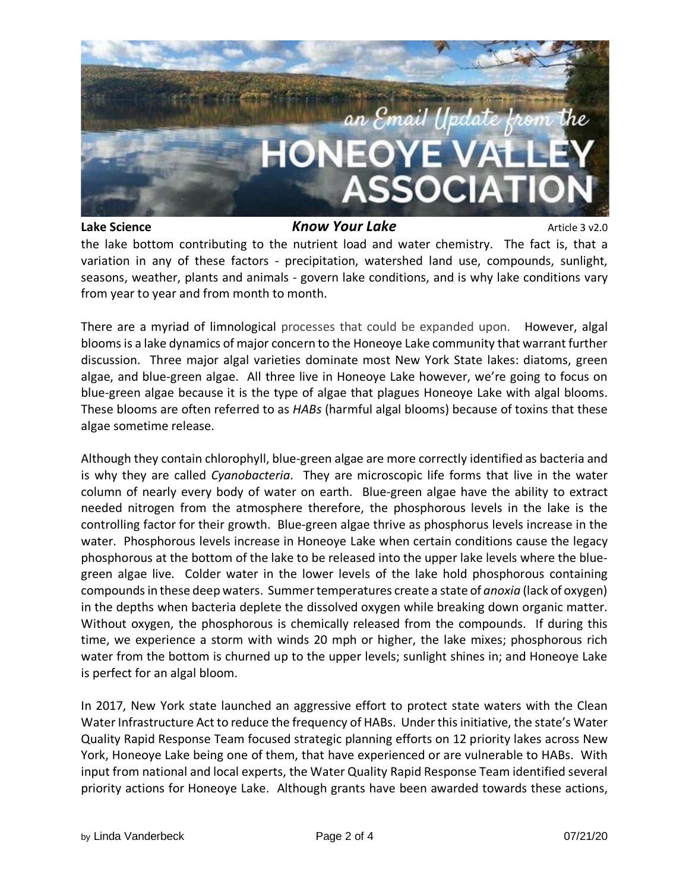

## **Lake Science** *Know Your Lake Article 3 v2.0*

the lake bottom contributing to the nutrient load and water chemistry. The fact is, that a variation in any of these factors - precipitation, watershed land use, compounds, sunlight, seasons, weather, plants and animals - govern lake conditions, and is why lake conditions vary from year to year and from month to month.

There are a myriad of limnological processes that could be expanded upon. However, algal blooms is a lake dynamics of major concern to the Honeoye Lake community that warrant further discussion. Three major algal varieties dominate most New York State lakes: diatoms, green algae, and blue-green algae. All three live in Honeoye Lake however, we're going to focus on blue-green algae because it is the type of algae that plagues Honeoye Lake with algal blooms. These blooms are often referred to as *HABs* (harmful algal blooms) because of toxins that these algae sometime release.

Although they contain chlorophyll, blue-green algae are more correctly identified as bacteria and is why they are called *Cyanobacteria*. They are microscopic life forms that live in the water column of nearly every body of water on earth. Blue-green algae have the ability to extract needed nitrogen from the atmosphere therefore, the phosphorous levels in the lake is the controlling factor for their growth. Blue-green algae thrive as phosphorus levels increase in the water. Phosphorous levels increase in Honeoye Lake when certain conditions cause the legacy phosphorous at the bottom of the lake to be released into the upper lake levels where the bluegreen algae live. Colder water in the lower levels of the lake hold phosphorous containing compoundsin these deep waters. Summertemperatures create a state of *anoxia* (lack of oxygen) in the depths when bacteria deplete the dissolved oxygen while breaking down organic matter. Without oxygen, the phosphorous is chemically released from the compounds. If during this time, we experience a storm with winds 20 mph or higher, the lake mixes; phosphorous rich water from the bottom is churned up to the upper levels; sunlight shines in; and Honeoye Lake is perfect for an algal bloom.

In 2017, New York state launched an aggressive effort to protect state waters with the Clean Water Infrastructure Act to reduce the frequency of HABs. Under this initiative, the state's Water Quality Rapid Response Team focused strategic planning efforts on 12 priority lakes across New York, Honeoye Lake being one of them, that have experienced or are vulnerable to HABs. With input from national and local experts, the Water Quality Rapid Response Team identified several priority actions for Honeoye Lake. Although grants have been awarded towards these actions,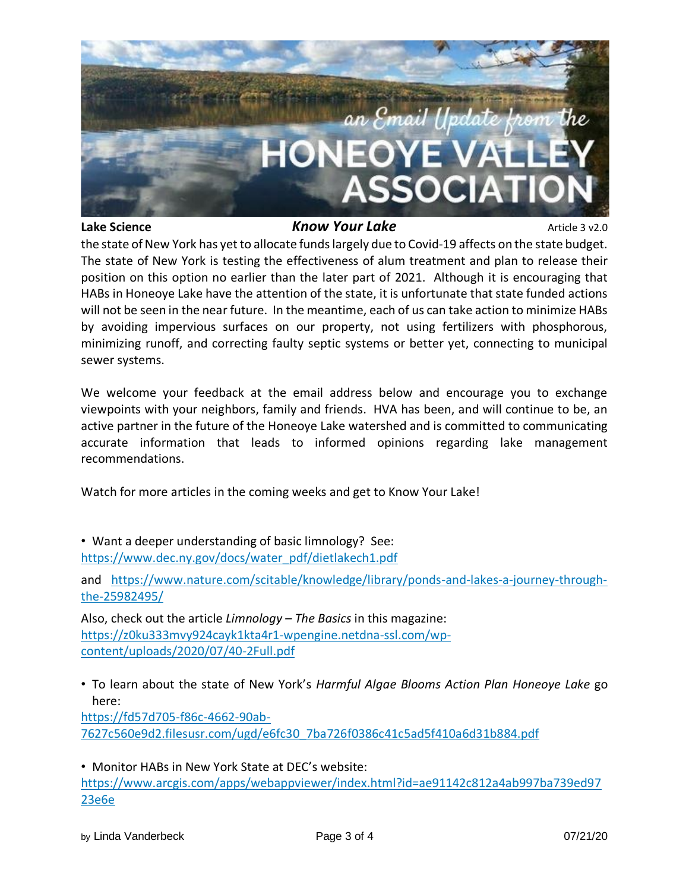

# **Lake Science** *Know Your Lake Article 3 v2.0*

the state of New York has yet to allocate funds largely due to Covid-19 affects on the state budget. The state of New York is testing the effectiveness of alum treatment and plan to release their position on this option no earlier than the later part of 2021. Although it is encouraging that HABs in Honeoye Lake have the attention of the state, it is unfortunate that state funded actions will not be seen in the near future. In the meantime, each of us can take action to minimize HABs by avoiding impervious surfaces on our property, not using fertilizers with phosphorous, minimizing runoff, and correcting faulty septic systems or better yet, connecting to municipal sewer systems.

We welcome your feedback at the email address below and encourage you to exchange viewpoints with your neighbors, family and friends. HVA has been, and will continue to be, an active partner in the future of the Honeoye Lake watershed and is committed to communicating accurate information that leads to informed opinions regarding lake management recommendations.

Watch for more articles in the coming weeks and get to Know Your Lake!

• Want a deeper understanding of basic limnology? See: [https://www.dec.ny.gov/docs/water\\_pdf/dietlakech1.pdf](https://www.dec.ny.gov/docs/water_pdf/dietlakech1.pdf)

and [https://www.nature.com/scitable/knowledge/library/ponds-and-lakes-a-journey-through](https://www.nature.com/scitable/knowledge/library/ponds-and-lakes-a-journey-through-the-25982495/)[the-25982495/](https://www.nature.com/scitable/knowledge/library/ponds-and-lakes-a-journey-through-the-25982495/)

Also, check out the article *Limnology – The Basics* in this magazine: [https://z0ku333mvy924cayk1kta4r1-wpengine.netdna-ssl.com/wp](https://z0ku333mvy924cayk1kta4r1-wpengine.netdna-ssl.com/wp-content/uploads/2020/07/40-2Full.pdf)[content/uploads/2020/07/40-2Full.pdf](https://z0ku333mvy924cayk1kta4r1-wpengine.netdna-ssl.com/wp-content/uploads/2020/07/40-2Full.pdf)

• To learn about the state of New York's *Harmful Algae Blooms Action Plan Honeoye Lake* go here:

[https://fd57d705-f86c-4662-90ab-](https://fd57d705-f86c-4662-90ab-7627c560e9d2.filesusr.com/ugd/e6fc30_7ba726f0386c41c5ad5f410a6d31b884.pdf)[7627c560e9d2.filesusr.com/ugd/e6fc30\\_7ba726f0386c41c5ad5f410a6d31b884.pdf](https://fd57d705-f86c-4662-90ab-7627c560e9d2.filesusr.com/ugd/e6fc30_7ba726f0386c41c5ad5f410a6d31b884.pdf)

• Monitor HABs in New York State at DEC's website: [https://www.arcgis.com/apps/webappviewer/index.html?id=ae91142c812a4ab997ba739ed97](https://www.arcgis.com/apps/webappviewer/index.html?id=ae91142c812a4ab997ba739ed9723e6e) [23e6e](https://www.arcgis.com/apps/webappviewer/index.html?id=ae91142c812a4ab997ba739ed9723e6e)